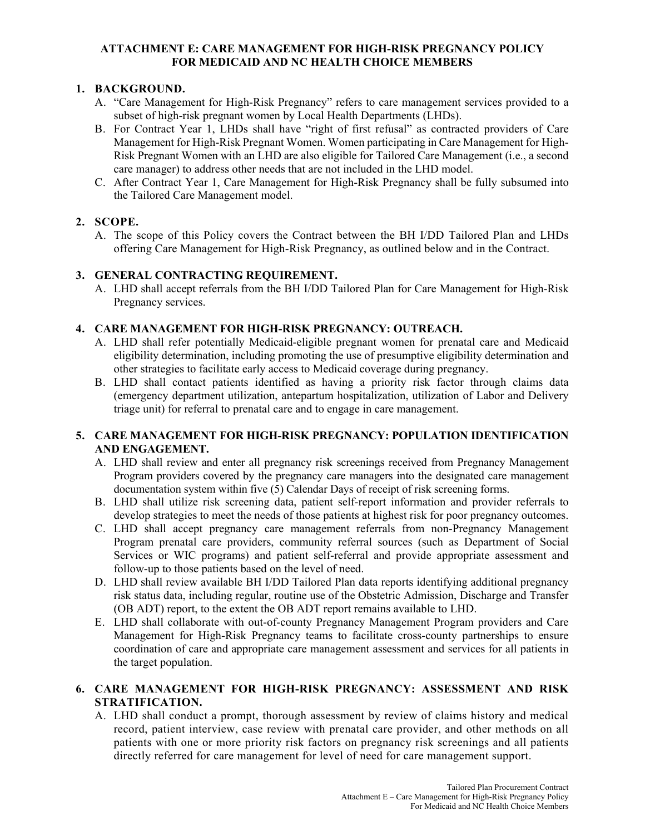#### **ATTACHMENT E: CARE MANAGEMENT FOR HIGH-RISK PREGNANCY POLICY FOR MEDICAID AND NC HEALTH CHOICE MEMBERS**

## **1. BACKGROUND.**

- A. "Care Management for High-Risk Pregnancy" refers to care management services provided to a subset of high-risk pregnant women by Local Health Departments (LHDs).
- B. For Contract Year 1, LHDs shall have "right of first refusal" as contracted providers of Care Management for High-Risk Pregnant Women. Women participating in Care Management for High-Risk Pregnant Women with an LHD are also eligible for Tailored Care Management (i.e., a second care manager) to address other needs that are not included in the LHD model.
- C. After Contract Year 1, Care Management for High-Risk Pregnancy shall be fully subsumed into the Tailored Care Management model.

## **2. SCOPE.**

A. The scope of this Policy covers the Contract between the BH I/DD Tailored Plan and LHDs offering Care Management for High-Risk Pregnancy, as outlined below and in the Contract.

#### **3. GENERAL CONTRACTING REQUIREMENT.**

A. LHD shall accept referrals from the BH I/DD Tailored Plan for Care Management for High-Risk Pregnancy services.

#### **4. CARE MANAGEMENT FOR HIGH-RISK PREGNANCY: OUTREACH.**

- A. LHD shall refer potentially Medicaid-eligible pregnant women for prenatal care and Medicaid eligibility determination, including promoting the use of presumptive eligibility determination and other strategies to facilitate early access to Medicaid coverage during pregnancy.
- B. LHD shall contact patients identified as having a priority risk factor through claims data (emergency department utilization, antepartum hospitalization, utilization of Labor and Delivery triage unit) for referral to prenatal care and to engage in care management.

#### **5. CARE MANAGEMENT FOR HIGH-RISK PREGNANCY: POPULATION IDENTIFICATION AND ENGAGEMENT.**

- A. LHD shall review and enter all pregnancy risk screenings received from Pregnancy Management Program providers covered by the pregnancy care managers into the designated care management documentation system within five (5) Calendar Days of receipt of risk screening forms.
- B. LHD shall utilize risk screening data, patient self-report information and provider referrals to develop strategies to meet the needs of those patients at highest risk for poor pregnancy outcomes.
- C. LHD shall accept pregnancy care management referrals from non-Pregnancy Management Program prenatal care providers, community referral sources (such as Department of Social Services or WIC programs) and patient self-referral and provide appropriate assessment and follow-up to those patients based on the level of need.
- D. LHD shall review available BH I/DD Tailored Plan data reports identifying additional pregnancy risk status data, including regular, routine use of the Obstetric Admission, Discharge and Transfer (OB ADT) report, to the extent the OB ADT report remains available to LHD.
- E. LHD shall collaborate with out-of-county Pregnancy Management Program providers and Care Management for High-Risk Pregnancy teams to facilitate cross-county partnerships to ensure coordination of care and appropriate care management assessment and services for all patients in the target population.

## **6. CARE MANAGEMENT FOR HIGH-RISK PREGNANCY: ASSESSMENT AND RISK STRATIFICATION.**

A. LHD shall conduct a prompt, thorough assessment by review of claims history and medical record, patient interview, case review with prenatal care provider, and other methods on all patients with one or more priority risk factors on pregnancy risk screenings and all patients directly referred for care management for level of need for care management support.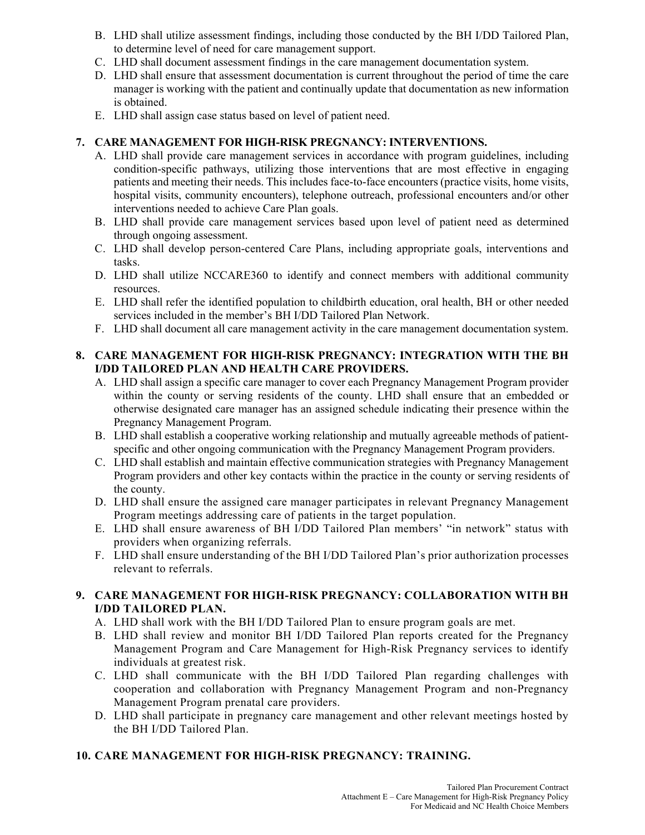- B. LHD shall utilize assessment findings, including those conducted by the BH I/DD Tailored Plan, to determine level of need for care management support.
- C. LHD shall document assessment findings in the care management documentation system.
- D. LHD shall ensure that assessment documentation is current throughout the period of time the care manager is working with the patient and continually update that documentation as new information is obtained.
- E. LHD shall assign case status based on level of patient need.

#### **7. CARE MANAGEMENT FOR HIGH-RISK PREGNANCY: INTERVENTIONS.**

- A. LHD shall provide care management services in accordance with program guidelines, including condition-specific pathways, utilizing those interventions that are most effective in engaging patients and meeting their needs. This includes face-to-face encounters (practice visits, home visits, hospital visits, community encounters), telephone outreach, professional encounters and/or other interventions needed to achieve Care Plan goals.
- B. LHD shall provide care management services based upon level of patient need as determined through ongoing assessment.
- C. LHD shall develop person-centered Care Plans, including appropriate goals, interventions and tasks.
- D. LHD shall utilize NCCARE360 to identify and connect members with additional community resources.
- E. LHD shall refer the identified population to childbirth education, oral health, BH or other needed services included in the member's BH I/DD Tailored Plan Network.
- F. LHD shall document all care management activity in the care management documentation system.

## **8. CARE MANAGEMENT FOR HIGH-RISK PREGNANCY: INTEGRATION WITH THE BH I/DD TAILORED PLAN AND HEALTH CARE PROVIDERS.**

- A. LHD shall assign a specific care manager to cover each Pregnancy Management Program provider within the county or serving residents of the county. LHD shall ensure that an embedded or otherwise designated care manager has an assigned schedule indicating their presence within the Pregnancy Management Program.
- B. LHD shall establish a cooperative working relationship and mutually agreeable methods of patientspecific and other ongoing communication with the Pregnancy Management Program providers.
- C. LHD shall establish and maintain effective communication strategies with Pregnancy Management Program providers and other key contacts within the practice in the county or serving residents of the county.
- D. LHD shall ensure the assigned care manager participates in relevant Pregnancy Management Program meetings addressing care of patients in the target population.
- E. LHD shall ensure awareness of BH I/DD Tailored Plan members' "in network" status with providers when organizing referrals.
- F. LHD shall ensure understanding of the BH I/DD Tailored Plan's prior authorization processes relevant to referrals.

## **9. CARE MANAGEMENT FOR HIGH-RISK PREGNANCY: COLLABORATION WITH BH I/DD TAILORED PLAN.**

- A. LHD shall work with the BH I/DD Tailored Plan to ensure program goals are met.
- B. LHD shall review and monitor BH I/DD Tailored Plan reports created for the Pregnancy Management Program and Care Management for High-Risk Pregnancy services to identify individuals at greatest risk.
- C. LHD shall communicate with the BH I/DD Tailored Plan regarding challenges with cooperation and collaboration with Pregnancy Management Program and non-Pregnancy Management Program prenatal care providers.
- D. LHD shall participate in pregnancy care management and other relevant meetings hosted by the BH I/DD Tailored Plan.

## **10. CARE MANAGEMENT FOR HIGH-RISK PREGNANCY: TRAINING.**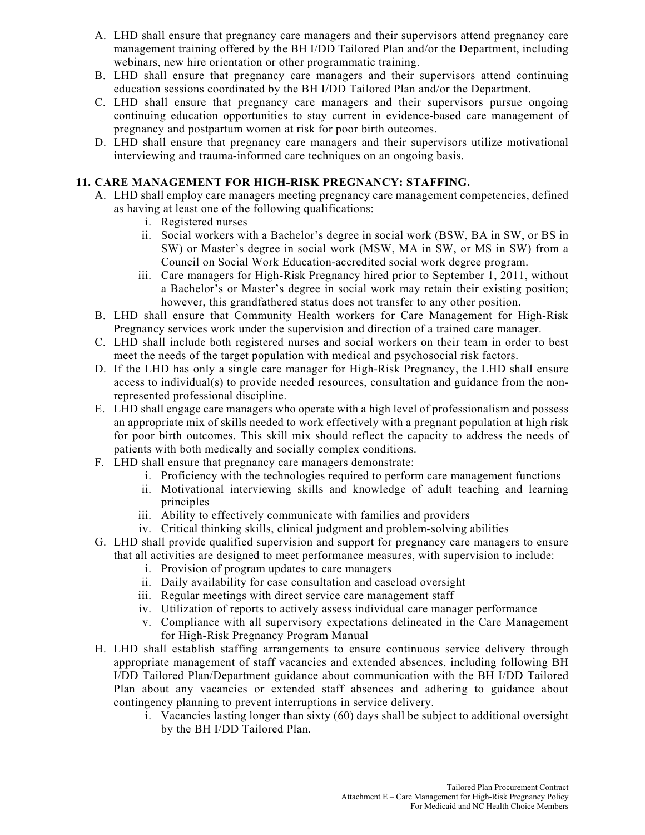- A. LHD shall ensure that pregnancy care managers and their supervisors attend pregnancy care management training offered by the BH I/DD Tailored Plan and/or the Department, including webinars, new hire orientation or other programmatic training.
- B. LHD shall ensure that pregnancy care managers and their supervisors attend continuing education sessions coordinated by the BH I/DD Tailored Plan and/or the Department.
- C. LHD shall ensure that pregnancy care managers and their supervisors pursue ongoing continuing education opportunities to stay current in evidence-based care management of pregnancy and postpartum women at risk for poor birth outcomes.
- D. LHD shall ensure that pregnancy care managers and their supervisors utilize motivational interviewing and trauma-informed care techniques on an ongoing basis.

# **11. CARE MANAGEMENT FOR HIGH-RISK PREGNANCY: STAFFING.**

- A. LHD shall employ care managers meeting pregnancy care management competencies, defined as having at least one of the following qualifications:
	- i. Registered nurses
	- ii. Social workers with a Bachelor's degree in social work (BSW, BA in SW, or BS in SW) or Master's degree in social work (MSW, MA in SW, or MS in SW) from a Council on Social Work Education-accredited social work degree program.
	- iii. Care managers for High-Risk Pregnancy hired prior to September 1, 2011, without a Bachelor's or Master's degree in social work may retain their existing position; however, this grandfathered status does not transfer to any other position.
- B. LHD shall ensure that Community Health workers for Care Management for High-Risk Pregnancy services work under the supervision and direction of a trained care manager.
- C. LHD shall include both registered nurses and social workers on their team in order to best meet the needs of the target population with medical and psychosocial risk factors.
- D. If the LHD has only a single care manager for High-Risk Pregnancy, the LHD shall ensure access to individual(s) to provide needed resources, consultation and guidance from the nonrepresented professional discipline.
- E. LHD shall engage care managers who operate with a high level of professionalism and possess an appropriate mix of skills needed to work effectively with a pregnant population at high risk for poor birth outcomes. This skill mix should reflect the capacity to address the needs of patients with both medically and socially complex conditions.
- F. LHD shall ensure that pregnancy care managers demonstrate:
	- i. Proficiency with the technologies required to perform care management functions
	- ii. Motivational interviewing skills and knowledge of adult teaching and learning principles
	- iii. Ability to effectively communicate with families and providers
	- iv. Critical thinking skills, clinical judgment and problem-solving abilities
- G. LHD shall provide qualified supervision and support for pregnancy care managers to ensure that all activities are designed to meet performance measures, with supervision to include:
	- i. Provision of program updates to care managers
	- ii. Daily availability for case consultation and caseload oversight
	- iii. Regular meetings with direct service care management staff
	- iv. Utilization of reports to actively assess individual care manager performance
	- v. Compliance with all supervisory expectations delineated in the Care Management for High-Risk Pregnancy Program Manual
- H. LHD shall establish staffing arrangements to ensure continuous service delivery through appropriate management of staff vacancies and extended absences, including following BH I/DD Tailored Plan/Department guidance about communication with the BH I/DD Tailored Plan about any vacancies or extended staff absences and adhering to guidance about contingency planning to prevent interruptions in service delivery.
	- i. Vacancies lasting longer than sixty (60) days shall be subject to additional oversight by the BH I/DD Tailored Plan.